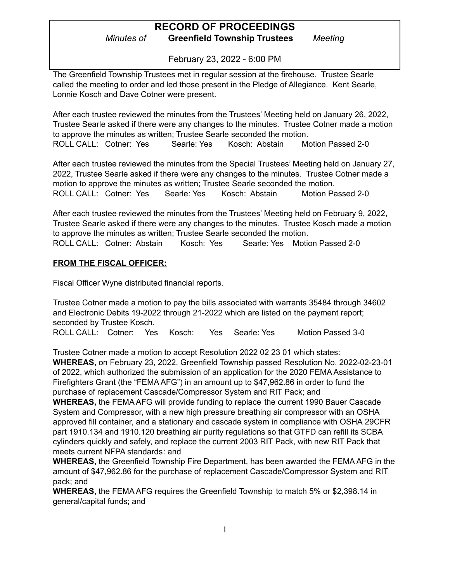*Minutes of* **Greenfield Township Trustees** *Meeting*

February 23, 2022 - 6:00 PM

The Greenfield Township Trustees met in regular session at the firehouse. Trustee Searle called the meeting to order and led those present in the Pledge of Allegiance. Kent Searle, Lonnie Kosch and Dave Cotner were present.

After each trustee reviewed the minutes from the Trustees' Meeting held on January 26, 2022, Trustee Searle asked if there were any changes to the minutes. Trustee Cotner made a motion to approve the minutes as written; Trustee Searle seconded the motion. ROLL CALL: Cotner: Yes Searle: Yes Kosch: Abstain Motion Passed 2-0

After each trustee reviewed the minutes from the Special Trustees' Meeting held on January 27, 2022, Trustee Searle asked if there were any changes to the minutes. Trustee Cotner made a motion to approve the minutes as written; Trustee Searle seconded the motion. ROLL CALL: Cotner: Yes Searle: Yes Kosch: Abstain Motion Passed 2-0

After each trustee reviewed the minutes from the Trustees' Meeting held on February 9, 2022, Trustee Searle asked if there were any changes to the minutes. Trustee Kosch made a motion to approve the minutes as written; Trustee Searle seconded the motion. ROLL CALL: Cotner: Abstain Kosch: Yes Searle: Yes Motion Passed 2-0

### **FROM THE FISCAL OFFICER:**

Fiscal Officer Wyne distributed financial reports.

Trustee Cotner made a motion to pay the bills associated with warrants 35484 through 34602 and Electronic Debits 19-2022 through 21-2022 which are listed on the payment report; seconded by Trustee Kosch.

ROLL CALL: Cotner: Yes Kosch: Yes Searle: Yes Motion Passed 3-0

Trustee Cotner made a motion to accept Resolution 2022 02 23 01 which states:

**WHEREAS,** on February 23, 2022, Greenfield Township passed Resolution No. 2022-02-23-01 of 2022, which authorized the submission of an application for the 2020 FEMA Assistance to Firefighters Grant (the "FEMA AFG") in an amount up to \$47,962.86 in order to fund the purchase of replacement Cascade/Compressor System and RIT Pack; and

**WHEREAS,** the FEMA AFG will provide funding to replace the current 1990 Bauer Cascade System and Compressor, with a new high pressure breathing air compressor with an OSHA approved fill container, and a stationary and cascade system in compliance with OSHA 29CFR part 1910.134 and 1910.120 breathing air purity regulations so that GTFD can refill its SCBA cylinders quickly and safely, and replace the current 2003 RIT Pack, with new RIT Pack that meets current NFPA standards: and

**WHEREAS,** the Greenfield Township Fire Department, has been awarded the FEMA AFG in the amount of \$47,962.86 for the purchase of replacement Cascade/Compressor System and RIT pack; and

**WHEREAS,** the FEMA AFG requires the Greenfield Township to match 5% or \$2,398.14 in general/capital funds; and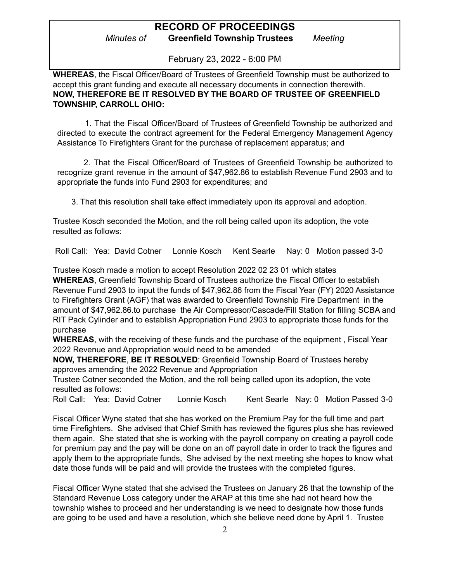*Minutes of* **Greenfield Township Trustees** *Meeting*

February 23, 2022 - 6:00 PM

**WHEREAS**, the Fiscal Officer/Board of Trustees of Greenfield Township must be authorized to accept this grant funding and execute all necessary documents in connection therewith. **NOW, THEREFORE BE IT RESOLVED BY THE BOARD OF TRUSTEE OF GREENFIELD TOWNSHIP, CARROLL OHIO:**

1. That the Fiscal Officer/Board of Trustees of Greenfield Township be authorized and directed to execute the contract agreement for the Federal Emergency Management Agency Assistance To Firefighters Grant for the purchase of replacement apparatus; and

2. That the Fiscal Officer/Board of Trustees of Greenfield Township be authorized to recognize grant revenue in the amount of \$47,962.86 to establish Revenue Fund 2903 and to appropriate the funds into Fund 2903 for expenditures; and

3. That this resolution shall take effect immediately upon its approval and adoption.

Trustee Kosch seconded the Motion, and the roll being called upon its adoption, the vote resulted as follows:

Roll Call: Yea: David Cotner Lonnie Kosch Kent Searle Nay: 0 Motion passed 3-0

Trustee Kosch made a motion to accept Resolution 2022 02 23 01 which states

**WHEREAS**, Greenfield Township Board of Trustees authorize the Fiscal Officer to establish Revenue Fund 2903 to input the funds of \$47,962.86 from the Fiscal Year (FY) 2020 Assistance to Firefighters Grant (AGF) that was awarded to Greenfield Township Fire Department in the amount of \$47,962.86.to purchase the Air Compressor/Cascade/Fill Station for filling SCBA and RIT Pack Cylinder and to establish Appropriation Fund 2903 to appropriate those funds for the purchase

**WHEREAS**, with the receiving of these funds and the purchase of the equipment , Fiscal Year 2022 Revenue and Appropriation would need to be amended

**NOW, THEREFORE**, **BE IT RESOLVED**: Greenfield Township Board of Trustees hereby approves amending the 2022 Revenue and Appropriation

Trustee Cotner seconded the Motion, and the roll being called upon its adoption, the vote resulted as follows:

Roll Call: Yea: David Cotner Lonnie Kosch Kent Searle Nay: 0 Motion Passed 3-0

Fiscal Officer Wyne stated that she has worked on the Premium Pay for the full time and part time Firefighters. She advised that Chief Smith has reviewed the figures plus she has reviewed them again. She stated that she is working with the payroll company on creating a payroll code for premium pay and the pay will be done on an off payroll date in order to track the figures and apply them to the appropriate funds, She advised by the next meeting she hopes to know what date those funds will be paid and will provide the trustees with the completed figures.

Fiscal Officer Wyne stated that she advised the Trustees on January 26 that the township of the Standard Revenue Loss category under the ARAP at this time she had not heard how the township wishes to proceed and her understanding is we need to designate how those funds are going to be used and have a resolution, which she believe need done by April 1. Trustee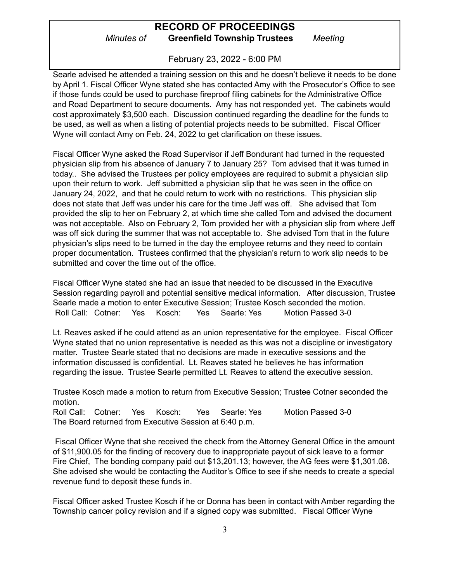## **RECORD OF PROCEEDINGS** *Minutes of* **Greenfield Township Trustees** *Meeting*

February 23, 2022 - 6:00 PM

Searle advised he attended a training session on this and he doesn't believe it needs to be done by April 1. Fiscal Officer Wyne stated she has contacted Amy with the Prosecutor's Office to see if those funds could be used to purchase fireproof filing cabinets for the Administrative Office and Road Department to secure documents. Amy has not responded yet. The cabinets would cost approximately \$3,500 each. Discussion continued regarding the deadline for the funds to be used, as well as when a listing of potential projects needs to be submitted. Fiscal Officer Wyne will contact Amy on Feb. 24, 2022 to get clarification on these issues.

Fiscal Officer Wyne asked the Road Supervisor if Jeff Bondurant had turned in the requested physician slip from his absence of January 7 to January 25? Tom advised that it was turned in today.. She advised the Trustees per policy employees are required to submit a physician slip upon their return to work. Jeff submitted a physician slip that he was seen in the office on January 24, 2022, and that he could return to work with no restrictions. This physician slip does not state that Jeff was under his care for the time Jeff was off. She advised that Tom provided the slip to her on February 2, at which time she called Tom and advised the document was not acceptable. Also on February 2, Tom provided her with a physician slip from where Jeff was off sick during the summer that was not acceptable to. She advised Tom that in the future physician's slips need to be turned in the day the employee returns and they need to contain proper documentation. Trustees confirmed that the physician's return to work slip needs to be submitted and cover the time out of the office.

Fiscal Officer Wyne stated she had an issue that needed to be discussed in the Executive Session regarding payroll and potential sensitive medical information. After discussion, Trustee Searle made a motion to enter Executive Session; Trustee Kosch seconded the motion. Roll Call: Cotner: Yes Kosch: Yes Searle: Yes Motion Passed 3-0

Lt. Reaves asked if he could attend as an union representative for the employee. Fiscal Officer Wyne stated that no union representative is needed as this was not a discipline or investigatory matter. Trustee Searle stated that no decisions are made in executive sessions and the information discussed is confidential. Lt. Reaves stated he believes he has information regarding the issue. Trustee Searle permitted Lt. Reaves to attend the executive session.

Trustee Kosch made a motion to return from Executive Session; Trustee Cotner seconded the motion.

Roll Call: Cotner: Yes Kosch: Yes Searle: Yes Motion Passed 3-0 The Board returned from Executive Session at 6:40 p.m.

Fiscal Officer Wyne that she received the check from the Attorney General Office in the amount of \$11,900.05 for the finding of recovery due to inappropriate payout of sick leave to a former Fire Chief, The bonding company paid out \$13,201.13; however, the AG fees were \$1,301.08. She advised she would be contacting the Auditor's Office to see if she needs to create a special revenue fund to deposit these funds in.

Fiscal Officer asked Trustee Kosch if he or Donna has been in contact with Amber regarding the Township cancer policy revision and if a signed copy was submitted. Fiscal Officer Wyne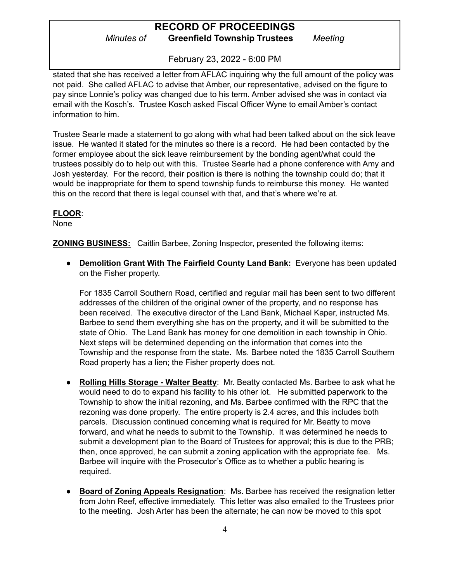## **RECORD OF PROCEEDINGS** *Minutes of* **Greenfield Township Trustees** *Meeting*

February 23, 2022 - 6:00 PM

stated that she has received a letter from AFLAC inquiring why the full amount of the policy was not paid. She called AFLAC to advise that Amber, our representative, advised on the figure to pay since Lonnie's policy was changed due to his term. Amber advised she was in contact via email with the Kosch's. Trustee Kosch asked Fiscal Officer Wyne to email Amber's contact information to him.

Trustee Searle made a statement to go along with what had been talked about on the sick leave issue. He wanted it stated for the minutes so there is a record. He had been contacted by the former employee about the sick leave reimbursement by the bonding agent/what could the trustees possibly do to help out with this. Trustee Searle had a phone conference with Amy and Josh yesterday. For the record, their position is there is nothing the township could do; that it would be inappropriate for them to spend township funds to reimburse this money. He wanted this on the record that there is legal counsel with that, and that's where we're at.

#### **FLOOR**:

None

**ZONING BUSINESS:** Caitlin Barbee, Zoning Inspector, presented the following items:

● **Demolition Grant With The Fairfield County Land Bank:** Everyone has been updated on the Fisher property.

For 1835 Carroll Southern Road, certified and regular mail has been sent to two different addresses of the children of the original owner of the property, and no response has been received. The executive director of the Land Bank, Michael Kaper, instructed Ms. Barbee to send them everything she has on the property, and it will be submitted to the state of Ohio. The Land Bank has money for one demolition in each township in Ohio. Next steps will be determined depending on the information that comes into the Township and the response from the state. Ms. Barbee noted the 1835 Carroll Southern Road property has a lien; the Fisher property does not.

- **Rolling Hills Storage - Walter Beatty**: Mr. Beatty contacted Ms. Barbee to ask what he would need to do to expand his facility to his other lot. He submitted paperwork to the Township to show the initial rezoning, and Ms. Barbee confirmed with the RPC that the rezoning was done properly. The entire property is 2.4 acres, and this includes both parcels. Discussion continued concerning what is required for Mr. Beatty to move forward, and what he needs to submit to the Township. It was determined he needs to submit a development plan to the Board of Trustees for approval; this is due to the PRB; then, once approved, he can submit a zoning application with the appropriate fee. Ms. Barbee will inquire with the Prosecutor's Office as to whether a public hearing is required.
- **Board of Zoning Appeals Resignation**: Ms. Barbee has received the resignation letter from John Reef, effective immediately. This letter was also emailed to the Trustees prior to the meeting. Josh Arter has been the alternate; he can now be moved to this spot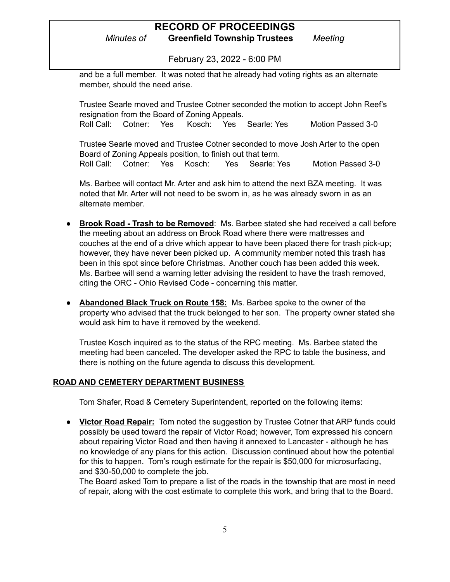*Minutes of* **Greenfield Township Trustees** *Meeting*

February 23, 2022 - 6:00 PM

and be a full member. It was noted that he already had voting rights as an alternate member, should the need arise.

Trustee Searle moved and Trustee Cotner seconded the motion to accept John Reef's resignation from the Board of Zoning Appeals. Roll Call: Cotner: Yes Kosch: Yes Searle: Yes Motion Passed 3-0

Trustee Searle moved and Trustee Cotner seconded to move Josh Arter to the open Board of Zoning Appeals position, to finish out that term. Roll Call: Cotner: Yes Kosch: Yes Searle: Yes Motion Passed 3-0

Ms. Barbee will contact Mr. Arter and ask him to attend the next BZA meeting. It was noted that Mr. Arter will not need to be sworn in, as he was already sworn in as an alternate member.

- **Brook Road - Trash to be Removed**: Ms. Barbee stated she had received a call before the meeting about an address on Brook Road where there were mattresses and couches at the end of a drive which appear to have been placed there for trash pick-up; however, they have never been picked up. A community member noted this trash has been in this spot since before Christmas. Another couch has been added this week. Ms. Barbee will send a warning letter advising the resident to have the trash removed, citing the ORC - Ohio Revised Code - concerning this matter.
- **Abandoned Black Truck on Route 158:** Ms. Barbee spoke to the owner of the property who advised that the truck belonged to her son. The property owner stated she would ask him to have it removed by the weekend.

Trustee Kosch inquired as to the status of the RPC meeting. Ms. Barbee stated the meeting had been canceled. The developer asked the RPC to table the business, and there is nothing on the future agenda to discuss this development.

#### **ROAD AND CEMETERY DEPARTMENT BUSINESS**

Tom Shafer, Road & Cemetery Superintendent, reported on the following items:

**● Victor Road Repair:** Tom noted the suggestion by Trustee Cotner that ARP funds could possibly be used toward the repair of Victor Road; however, Tom expressed his concern about repairing Victor Road and then having it annexed to Lancaster - although he has no knowledge of any plans for this action. Discussion continued about how the potential for this to happen. Tom's rough estimate for the repair is \$50,000 for microsurfacing, and \$30-50,000 to complete the job.

The Board asked Tom to prepare a list of the roads in the township that are most in need of repair, along with the cost estimate to complete this work, and bring that to the Board.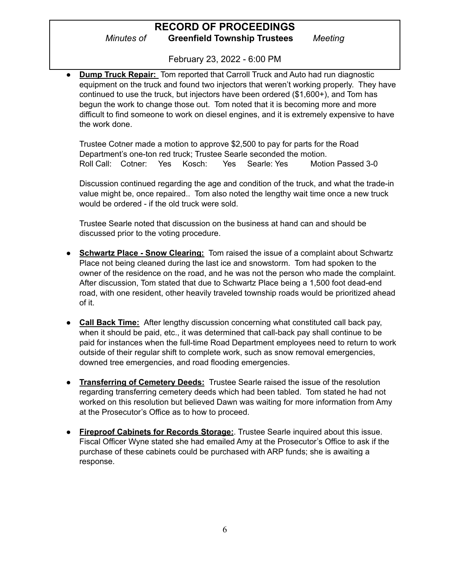*Minutes of* **Greenfield Township Trustees** *Meeting*

February 23, 2022 - 6:00 PM

**● Dump Truck Repair:** Tom reported that Carroll Truck and Auto had run diagnostic equipment on the truck and found two injectors that weren't working properly. They have continued to use the truck, but injectors have been ordered (\$1,600+), and Tom has begun the work to change those out. Tom noted that it is becoming more and more difficult to find someone to work on diesel engines, and it is extremely expensive to have the work done.

Trustee Cotner made a motion to approve \$2,500 to pay for parts for the Road Department's one-ton red truck; Trustee Searle seconded the motion. Roll Call: Cotner: Yes Kosch: Yes Searle: Yes Motion Passed 3-0

Discussion continued regarding the age and condition of the truck, and what the trade-in value might be, once repaired.. Tom also noted the lengthy wait time once a new truck would be ordered - if the old truck were sold.

Trustee Searle noted that discussion on the business at hand can and should be discussed prior to the voting procedure.

- **● Schwartz Place - Snow Clearing:** Tom raised the issue of a complaint about Schwartz Place not being cleaned during the last ice and snowstorm. Tom had spoken to the owner of the residence on the road, and he was not the person who made the complaint. After discussion, Tom stated that due to Schwartz Place being a 1,500 foot dead-end road, with one resident, other heavily traveled township roads would be prioritized ahead of it.
- **● Call Back Time:** After lengthy discussion concerning what constituted call back pay, when it should be paid, etc., it was determined that call-back pay shall continue to be paid for instances when the full-time Road Department employees need to return to work outside of their regular shift to complete work, such as snow removal emergencies, downed tree emergencies, and road flooding emergencies.
- **● Transferring of Cemetery Deeds:** Trustee Searle raised the issue of the resolution regarding transferring cemetery deeds which had been tabled. Tom stated he had not worked on this resolution but believed Dawn was waiting for more information from Amy at the Prosecutor's Office as to how to proceed.
- **● Fireproof Cabinets for Records Storage:**. Trustee Searle inquired about this issue. Fiscal Officer Wyne stated she had emailed Amy at the Prosecutor's Office to ask if the purchase of these cabinets could be purchased with ARP funds; she is awaiting a response.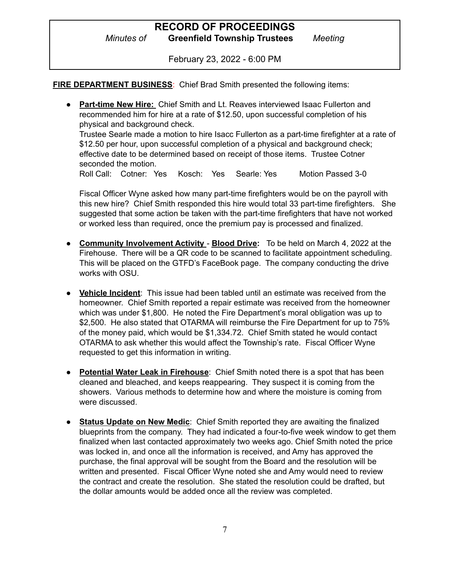*Minutes of* **Greenfield Township Trustees** *Meeting*

February 23, 2022 - 6:00 PM

**FIRE DEPARTMENT BUSINESS**: Chief Brad Smith presented the following items:

● **Part-time New Hire:** Chief Smith and Lt. Reaves interviewed Isaac Fullerton and recommended him for hire at a rate of \$12.50, upon successful completion of his physical and background check.

Trustee Searle made a motion to hire Isacc Fullerton as a part-time firefighter at a rate of \$12.50 per hour, upon successful completion of a physical and background check; effective date to be determined based on receipt of those items. Trustee Cotner seconded the motion.

Roll Call: Cotner: Yes Kosch: Yes Searle: Yes Motion Passed 3-0

Fiscal Officer Wyne asked how many part-time firefighters would be on the payroll with this new hire? Chief Smith responded this hire would total 33 part-time firefighters. She suggested that some action be taken with the part-time firefighters that have not worked or worked less than required, once the premium pay is processed and finalized.

- **● Community Involvement Activity Blood Drive:** To be held on March 4, 2022 at the Firehouse. There will be a QR code to be scanned to facilitate appointment scheduling. This will be placed on the GTFD's FaceBook page. The company conducting the drive works with OSU.
- **Vehicle Incident**: This issue had been tabled until an estimate was received from the homeowner. Chief Smith reported a repair estimate was received from the homeowner which was under \$1,800. He noted the Fire Department's moral obligation was up to \$2,500. He also stated that OTARMA will reimburse the Fire Department for up to 75% of the money paid, which would be \$1,334.72. Chief Smith stated he would contact OTARMA to ask whether this would affect the Township's rate. Fiscal Officer Wyne requested to get this information in writing.
- **Potential Water Leak in Firehouse**: Chief Smith noted there is a spot that has been cleaned and bleached, and keeps reappearing. They suspect it is coming from the showers. Various methods to determine how and where the moisture is coming from were discussed.
- **Status Update on New Medic**: Chief Smith reported they are awaiting the finalized blueprints from the company. They had indicated a four-to-five week window to get them finalized when last contacted approximately two weeks ago. Chief Smith noted the price was locked in, and once all the information is received, and Amy has approved the purchase, the final approval will be sought from the Board and the resolution will be written and presented. Fiscal Officer Wyne noted she and Amy would need to review the contract and create the resolution. She stated the resolution could be drafted, but the dollar amounts would be added once all the review was completed.